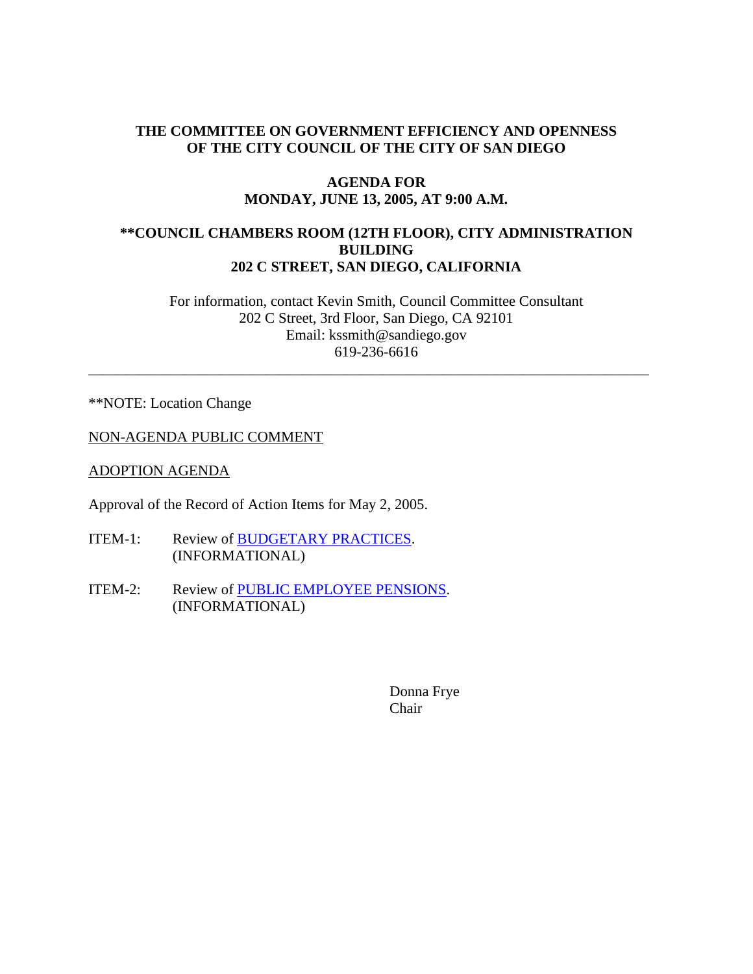## **THE COMMITTEE ON GOVERNMENT EFFICIENCY AND OPENNESS OF THE CITY COUNCIL OF THE CITY OF SAN DIEGO**

#### **AGENDA FOR MONDAY, JUNE 13, 2005, AT 9:00 A.M.**

## **\*\*COUNCIL CHAMBERS ROOM (12TH FLOOR), CITY ADMINISTRATION BUILDING 202 C STREET, SAN DIEGO, CALIFORNIA**

For information, contact Kevin Smith, Council Committee Consultant 202 C Street, 3rd Floor, San Diego, CA 92101 Email: kssmith@sandiego.gov 619-236-6616

\_\_\_\_\_\_\_\_\_\_\_\_\_\_\_\_\_\_\_\_\_\_\_\_\_\_\_\_\_\_\_\_\_\_\_\_\_\_\_\_\_\_\_\_\_\_\_\_\_\_\_\_\_\_\_\_\_\_\_\_\_\_\_\_\_\_\_\_\_\_\_\_\_\_\_\_

\*\*NOTE: Location Change

NON-AGENDA PUBLIC COMMENT

ADOPTION AGENDA

Approval of the Record of Action Items for May 2, 2005.

- ITEM-1: Review of BUDGETARY PRACTICES. (INFORMATIONAL)
- ITEM-2: Review of PUBLIC EMPLOYEE PENSIONS. (INFORMATIONAL)

Donna Frye Chair